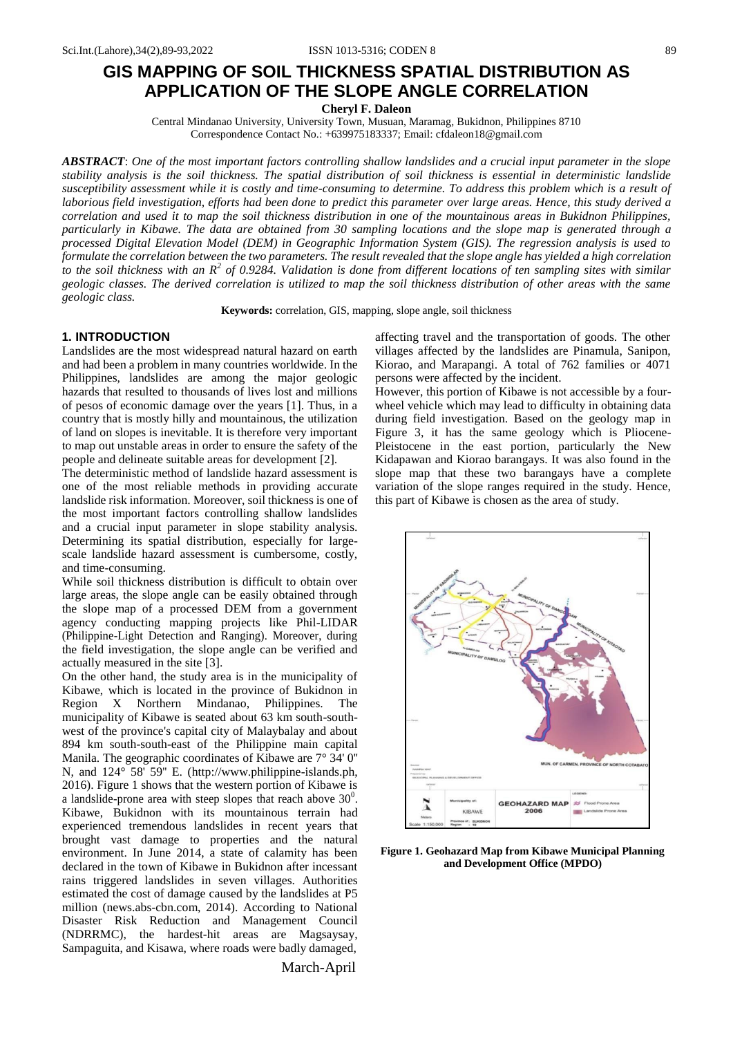# **GIS MAPPING OF SOIL THICKNESS SPATIAL DISTRIBUTION AS APPLICATION OF THE SLOPE ANGLE CORRELATION**

**Cheryl F. Daleon**

Central Mindanao University, University Town, Musuan, Maramag, Bukidnon, Philippines 8710 Correspondence Contact No.: +639975183337; Email: [cfdaleon18@gmail.com](mailto:cfdaleon18@gmail.com)

*ABSTRACT*: *One of the most important factors controlling shallow landslides and a crucial input parameter in the slope stability analysis is the soil thickness. The spatial distribution of soil thickness is essential in deterministic landslide susceptibility assessment while it is costly and time-consuming to determine. To address this problem which is a result of laborious field investigation, efforts had been done to predict this parameter over large areas. Hence, this study derived a correlation and used it to map the soil thickness distribution in one of the mountainous areas in Bukidnon Philippines, particularly in Kibawe. The data are obtained from 30 sampling locations and the slope map is generated through a processed Digital Elevation Model (DEM) in Geographic Information System (GIS). The regression analysis is used to* formulate the correlation between the two parameters. The result revealed that the slope angle has yielded a high correlation *to the soil thickness with an R<sup>2</sup> of 0.9284. Validation is done from different locations of ten sampling sites with similar geologic classes. The derived correlation is utilized to map the soil thickness distribution of other areas with the same geologic class.*

**Keywords:** correlation, GIS, mapping, slope angle, soil thickness

# **1. INTRODUCTION**

Landslides are the most widespread natural hazard on earth and had been a problem in many countries worldwide. In the Philippines, landslides are among the major geologic hazards that resulted to thousands of lives lost and millions of pesos of economic damage over the years [1]. Thus, in a country that is mostly hilly and mountainous, the utilization of land on slopes is inevitable. It is therefore very important to map out unstable areas in order to ensure the safety of the people and delineate suitable areas for development [2].

The deterministic method of landslide hazard assessment is one of the most reliable methods in providing accurate landslide risk information. Moreover, soil thickness is one of the most important factors controlling shallow landslides and a crucial input parameter in slope stability analysis. Determining its spatial distribution, especially for largescale landslide hazard assessment is cumbersome, costly, and time-consuming.

While soil thickness distribution is difficult to obtain over large areas, the slope angle can be easily obtained through the slope map of a processed DEM from a government agency conducting mapping projects like Phil-LIDAR (Philippine-Light Detection and Ranging). Moreover, during the field investigation, the slope angle can be verified and actually measured in the site [3].

On the other hand, the study area is in the municipality of Kibawe, which is located in the province of Bukidnon in Region X Northern Mindanao, Philippines. The municipality of Kibawe is seated about 63 km south-southwest of the province's capital city of Malaybalay and about 894 km south-south-east of the Philippine main capital Manila. The geographic coordinates of Kibawe are 7° 34' 0'' N, and 124° 58' 59'' E. [\(http://www.philippine-islands.ph,](http://www.philippine-islands.ph/) 2016). Figure 1 shows that the western portion of Kibawe is a landslide-prone area with steep slopes that reach above  $30^0$ . Kibawe, Bukidnon with its mountainous terrain had experienced tremendous landslides in recent years that brought vast damage to properties and the natural environment. In June 2014, a state of calamity has been declared in the town of Kibawe in Bukidnon after incessant rains triggered landslides in seven villages. Authorities estimated the cost of damage caused by the landslides at P5 million (news.abs-cbn.com, 2014). According to National Disaster Risk Reduction and Management Council (NDRRMC), the hardest-hit areas are Magsaysay, Sampaguita, and Kisawa, where roads were badly damaged,

March-April

affecting travel and the transportation of goods. The other villages affected by the landslides are Pinamula, Sanipon, Kiorao, and Marapangi. A total of 762 families or 4071 persons were affected by the incident.

However, this portion of Kibawe is not accessible by a fourwheel vehicle which may lead to difficulty in obtaining data during field investigation. Based on the geology map in Figure 3, it has the same geology which is Pliocene-Pleistocene in the east portion, particularly the New Kidapawan and Kiorao barangays. It was also found in the slope map that these two barangays have a complete variation of the slope ranges required in the study. Hence, this part of Kibawe is chosen as the area of study.



**Figure 1. Geohazard Map from Kibawe Municipal Planning and Development Office (MPDO)**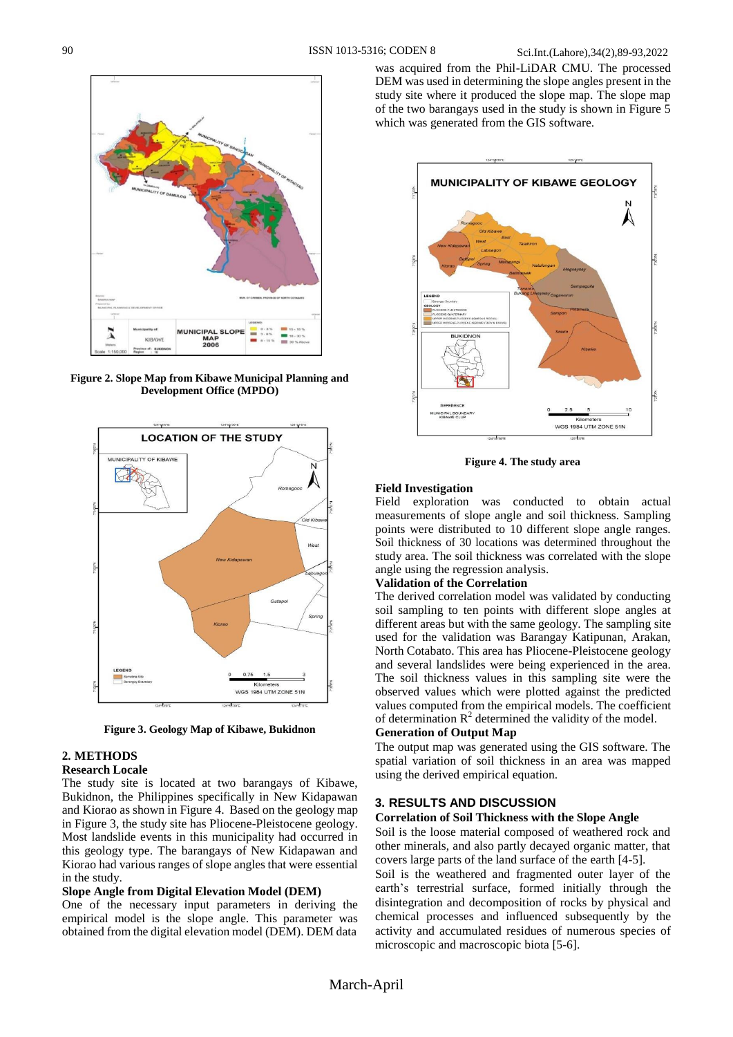

**Figure 2. Slope Map from Kibawe Municipal Planning and Development Office (MPDO)**



**Figure 3. Geology Map of Kibawe, Bukidnon**

## **2. METHODS**

### **Research Locale**

The study site is located at two barangays of Kibawe, Bukidnon, the Philippines specifically in New Kidapawan and Kiorao as shown in Figure 4. Based on the geology map in Figure 3, the study site has Pliocene-Pleistocene geology. Most landslide events in this municipality had occurred in this geology type. The barangays of New Kidapawan and Kiorao had various ranges of slope angles that were essential in the study.

## **Slope Angle from Digital Elevation Model (DEM)**

One of the necessary input parameters in deriving the empirical model is the slope angle. This parameter was obtained from the digital elevation model (DEM). DEM data

was acquired from the Phil-LiDAR CMU. The processed DEM was used in determining the slope angles present in the study site where it produced the slope map. The slope map of the two barangays used in the study is shown in Figure 5 which was generated from the GIS software.



**Figure 4. The study area**

## **Field Investigation**

Field exploration was conducted to obtain actual measurements of slope angle and soil thickness. Sampling points were distributed to 10 different slope angle ranges. Soil thickness of 30 locations was determined throughout the study area. The soil thickness was correlated with the slope angle using the regression analysis.

## **Validation of the Correlation**

The derived correlation model was validated by conducting soil sampling to ten points with different slope angles at different areas but with the same geology. The sampling site used for the validation was Barangay Katipunan, Arakan, North Cotabato. This area has Pliocene-Pleistocene geology and several landslides were being experienced in the area. The soil thickness values in this sampling site were the observed values which were plotted against the predicted values computed from the empirical models. The coefficient of determination  $R^2$  determined the validity of the model.

# **Generation of Output Map**

The output map was generated using the GIS software. The spatial variation of soil thickness in an area was mapped using the derived empirical equation.

## **3. RESULTS AND DISCUSSION**

#### **Correlation of Soil Thickness with the Slope Angle**

Soil is the loose material composed of weathered rock and other minerals, and also partly decayed organic matter, that covers large parts of the land surface of the earth [4-5].

Soil is the weathered and fragmented outer layer of the earth's terrestrial surface, formed initially through the disintegration and decomposition of rocks by physical and chemical processes and influenced subsequently by the activity and accumulated residues of numerous species of microscopic and macroscopic biota [5-6].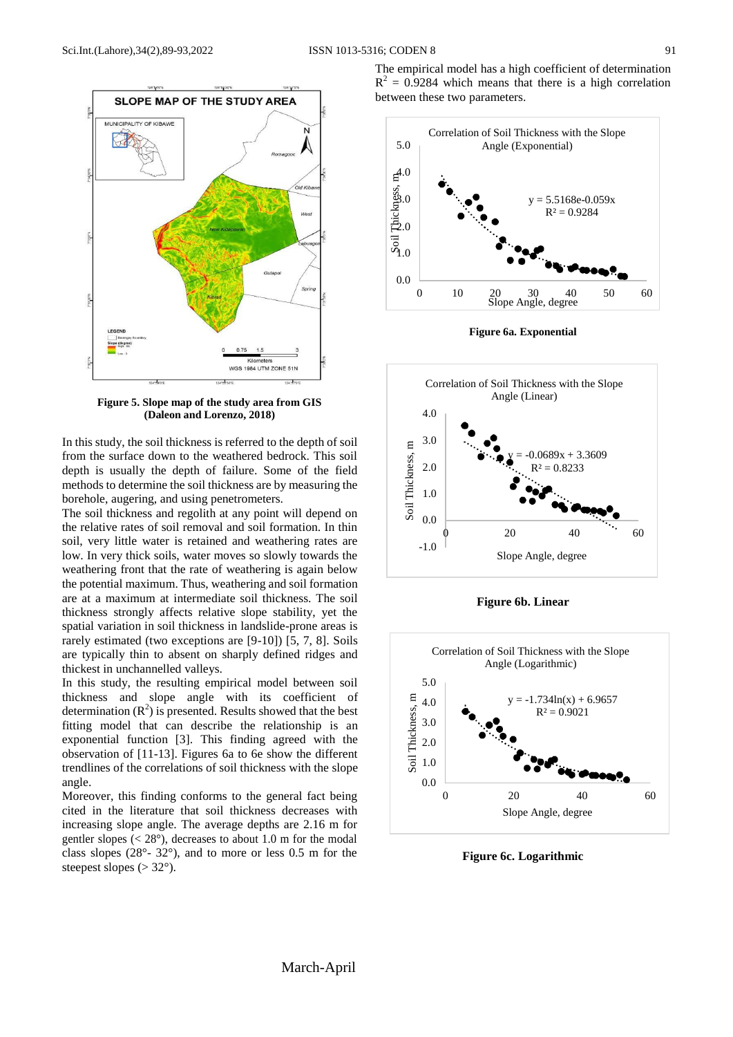

**Figure 5. Slope map of the study area from GIS (Daleon and Lorenzo, 2018)**

In this study, the soil thickness is referred to the depth of soil from the surface down to the weathered bedrock. This soil depth is usually the depth of failure. Some of the field methods to determine the soil thickness are by measuring the borehole, augering, and using penetrometers.

The soil thickness and regolith at any point will depend on the relative rates of soil removal and soil formation. In thin soil, very little water is retained and weathering rates are low. In very thick soils, water moves so slowly towards the weathering front that the rate of weathering is again below the potential maximum. Thus, weathering and soil formation are at a maximum at intermediate soil thickness. The soil thickness strongly affects relative slope stability, yet the spatial variation in soil thickness in landslide-prone areas is rarely estimated (two exceptions are [9-10]) [5, 7, 8]. Soils are typically thin to absent on sharply defined ridges and thickest in unchannelled valleys.

In this study, the resulting empirical model between soil thickness and slope angle with its coefficient of determination  $(R^2)$  is presented. Results showed that the best fitting model that can describe the relationship is an exponential function [3]. This finding agreed with the observation of [11-13]. Figures 6a to 6e show the different trendlines of the correlations of soil thickness with the slope angle.

Moreover, this finding conforms to the general fact being cited in the literature that soil thickness decreases with increasing slope angle. The average depths are 2.16 m for gentler slopes ( $\langle 28^\circ \rangle$ , decreases to about 1.0 m for the modal class slopes (28°- 32°), and to more or less 0.5 m for the steepest slopes ( $>$  32 $^{\circ}$ ).

The empirical model has a high coefficient of determination  $R<sup>2</sup> = 0.9284$  which means that there is a high correlation between these two parameters.



**Figure 6a. Exponential**



**Figure 6b. Linear**



**Figure 6c. Logarithmic**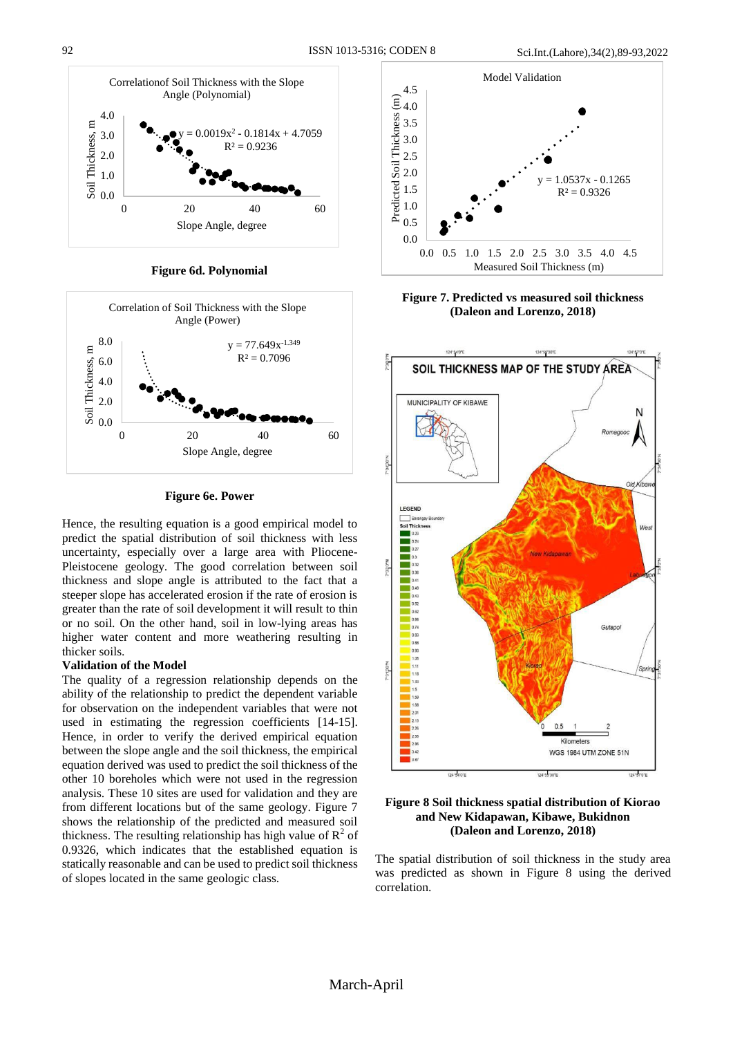

**Figure 6d. Polynomial**



**Figure 6e. Power**

Hence, the resulting equation is a good empirical model to predict the spatial distribution of soil thickness with less uncertainty, especially over a large area with Pliocene-Pleistocene geology. The good correlation between soil thickness and slope angle is attributed to the fact that a steeper slope has accelerated erosion if the rate of erosion is greater than the rate of soil development it will result to thin or no soil. On the other hand, soil in low-lying areas has higher water content and more weathering resulting in thicker soils.

## **Validation of the Model**

The quality of a regression relationship depends on the ability of the relationship to predict the dependent variable for observation on the independent variables that were not used in estimating the regression coefficients [14-15]. Hence, in order to verify the derived empirical equation between the slope angle and the soil thickness, the empirical equation derived was used to predict the soil thickness of the other 10 boreholes which were not used in the regression analysis. These 10 sites are used for validation and they are from different locations but of the same geology. Figure 7 shows the relationship of the predicted and measured soil thickness. The resulting relationship has high value of  $R^2$  of 0.9326, which indicates that the established equation is statically reasonable and can be used to predict soil thickness of slopes located in the same geologic class.



**Figure 7. Predicted vs measured soil thickness (Daleon and Lorenzo, 2018)**



**Figure 8 Soil thickness spatial distribution of Kiorao and New Kidapawan, Kibawe, Bukidnon (Daleon and Lorenzo, 2018)**

The spatial distribution of soil thickness in the study area was predicted as shown in Figure 8 using the derived correlation.